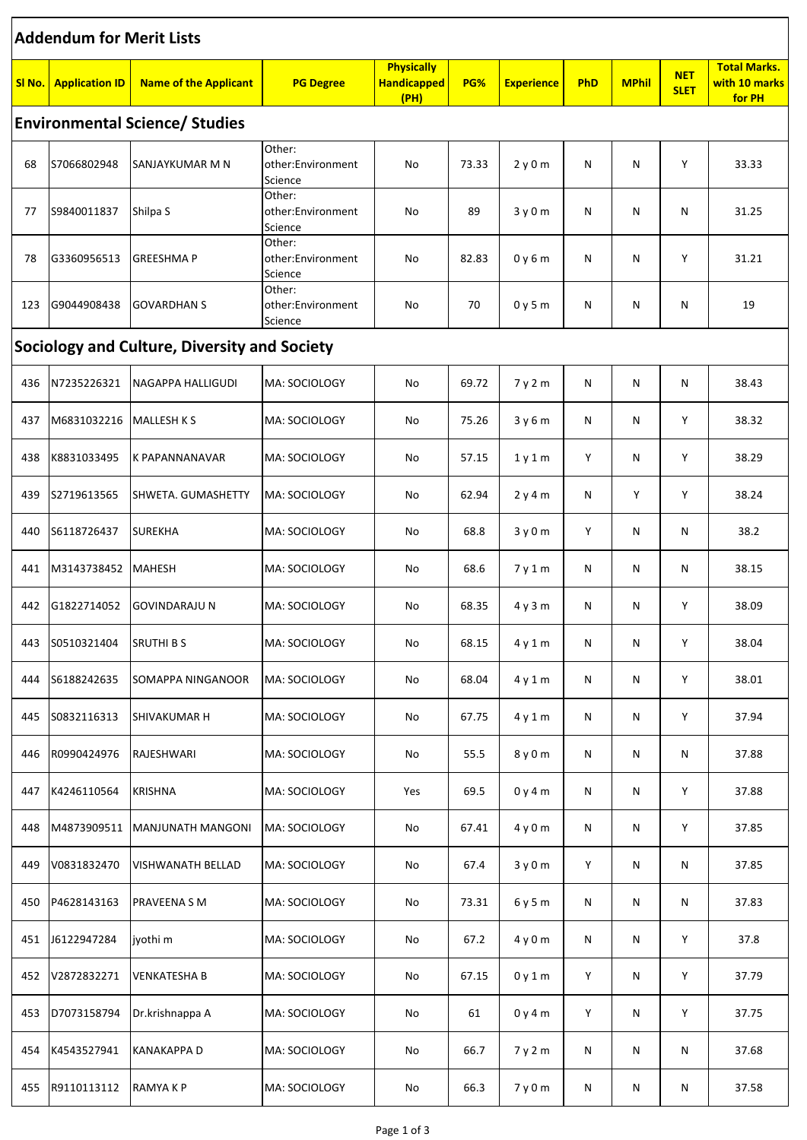| <b>Addendum for Merit Lists</b>              |                       |                              |                                        |                                                 |       |                   |     |              |                           |                                                |
|----------------------------------------------|-----------------------|------------------------------|----------------------------------------|-------------------------------------------------|-------|-------------------|-----|--------------|---------------------------|------------------------------------------------|
| SI <sub>No</sub> .                           | <b>Application ID</b> | <b>Name of the Applicant</b> | <b>PG Degree</b>                       | <b>Physically</b><br><b>Handicapped</b><br>(PH) | PG%   | <b>Experience</b> | PhD | <b>MPhil</b> | <b>NET</b><br><b>SLET</b> | <b>Total Marks.</b><br>with 10 marks<br>for PH |
| <b>Environmental Science/ Studies</b>        |                       |                              |                                        |                                                 |       |                   |     |              |                           |                                                |
| 68                                           | S7066802948           | SANJAYKUMAR M N              | Other:<br>other:Environment<br>Science | No                                              | 73.33 | 2y0m              | N   | N            | Υ                         | 33.33                                          |
| 77                                           | S9840011837           | Shilpa S                     | Other:<br>other:Environment<br>Science | No                                              | 89    | 3y0m              | N   | Ν            | N                         | 31.25                                          |
| 78                                           | G3360956513           | <b>GREESHMAP</b>             | Other:<br>other:Environment<br>Science | No                                              | 82.83 | 0y6m              | N   | Ν            | Υ                         | 31.21                                          |
| 123                                          | G9044908438           | <b>GOVARDHAN S</b>           | Other:<br>other:Environment<br>Science | No                                              | 70    | 0y5m              | N   | Ν            | N                         | 19                                             |
| Sociology and Culture, Diversity and Society |                       |                              |                                        |                                                 |       |                   |     |              |                           |                                                |
| 436                                          | N7235226321           | NAGAPPA HALLIGUDI            | MA: SOCIOLOGY                          | No                                              | 69.72 | 7 y 2 m           | N   | N            | N                         | 38.43                                          |
| 437                                          | M6831032216           | <b>MALLESH K S</b>           | MA: SOCIOLOGY                          | No                                              | 75.26 | 3y6m              | Ν   | N            | Υ                         | 38.32                                          |
| 438                                          | K8831033495           | K PAPANNANAVAR               | MA: SOCIOLOGY                          | No                                              | 57.15 | 1y1m              | Υ   | N            | Υ                         | 38.29                                          |
| 439                                          | S2719613565           | SHWETA. GUMASHETTY           | MA: SOCIOLOGY                          | No                                              | 62.94 | 2y4m              | N   | Y            | Y                         | 38.24                                          |
| 440                                          | S6118726437           | <b>SUREKHA</b>               | MA: SOCIOLOGY                          | No                                              | 68.8  | 3y0m              | Υ   | N            | N                         | 38.2                                           |
| 441                                          | M3143738452           | MAHESH                       | MA: SOCIOLOGY                          | No                                              | 68.6  | 7y1m              | Ν   | N            | N                         | 38.15                                          |
| 442                                          | G1822714052           | GOVINDARAJU N                | MA: SOCIOLOGY                          | No                                              | 68.35 | 4y3m              | Ν   | N            | Υ                         | 38.09                                          |
| 443                                          | S0510321404           | <b>SRUTHI BS</b>             | MA: SOCIOLOGY                          | No                                              | 68.15 | 4y1m              | Ν   | N            | Υ                         | 38.04                                          |
| 444                                          | S6188242635           | SOMAPPA NINGANOOR            | MA: SOCIOLOGY                          | No                                              | 68.04 | 4y1m              | Ν   | Ν            | Υ                         | 38.01                                          |
| 445                                          | S0832116313           | <b>SHIVAKUMAR H</b>          | MA: SOCIOLOGY                          | No                                              | 67.75 | 4y1m              | Ν   | N            | Υ                         | 37.94                                          |
| 446                                          | R0990424976           | RAJESHWARI                   | MA: SOCIOLOGY                          | No                                              | 55.5  | 8 y 0 m           | Ν   | N            | N                         | 37.88                                          |
| 447                                          | K4246110564           | <b>KRISHNA</b>               | MA: SOCIOLOGY                          | Yes                                             | 69.5  | 0y4m              | Ν   | Ν            | Υ                         | 37.88                                          |
| 448                                          | M4873909511           | MANJUNATH MANGONI            | MA: SOCIOLOGY                          | No                                              | 67.41 | 4 y 0 m           | Ν   | N            | Υ                         | 37.85                                          |
| 449                                          | V0831832470           | <b>VISHWANATH BELLAD</b>     | MA: SOCIOLOGY                          | No                                              | 67.4  | 3y0m              | Υ   | N            | N                         | 37.85                                          |
| 450                                          | P4628143163           | <b>PRAVEENA S M</b>          | MA: SOCIOLOGY                          | No                                              | 73.31 | 6y5m              | Ν   | N            | N                         | 37.83                                          |
| 451                                          | J6122947284           | jyothi m                     | MA: SOCIOLOGY                          | No                                              | 67.2  | 4 y 0 m           | Ν   | Ν            | Y                         | 37.8                                           |
| 452                                          | V2872832271           | <b>VENKATESHA B</b>          | MA: SOCIOLOGY                          | No                                              | 67.15 | 0y1m              | Y   | N            | Υ                         | 37.79                                          |
| 453                                          | D7073158794           | Dr.krishnappa A              | MA: SOCIOLOGY                          | No                                              | 61    | 0y4m              | Υ   | N            | Υ                         | 37.75                                          |
| 454                                          | K4543527941           | <b>KANAKAPPA D</b>           | MA: SOCIOLOGY                          | No                                              | 66.7  | 7y2m              | Ν   | N            | N                         | 37.68                                          |
| 455                                          | R9110113112           | RAMYAKP                      | MA: SOCIOLOGY                          | No                                              | 66.3  | 7y0m              | Ν   | N            | N                         | 37.58                                          |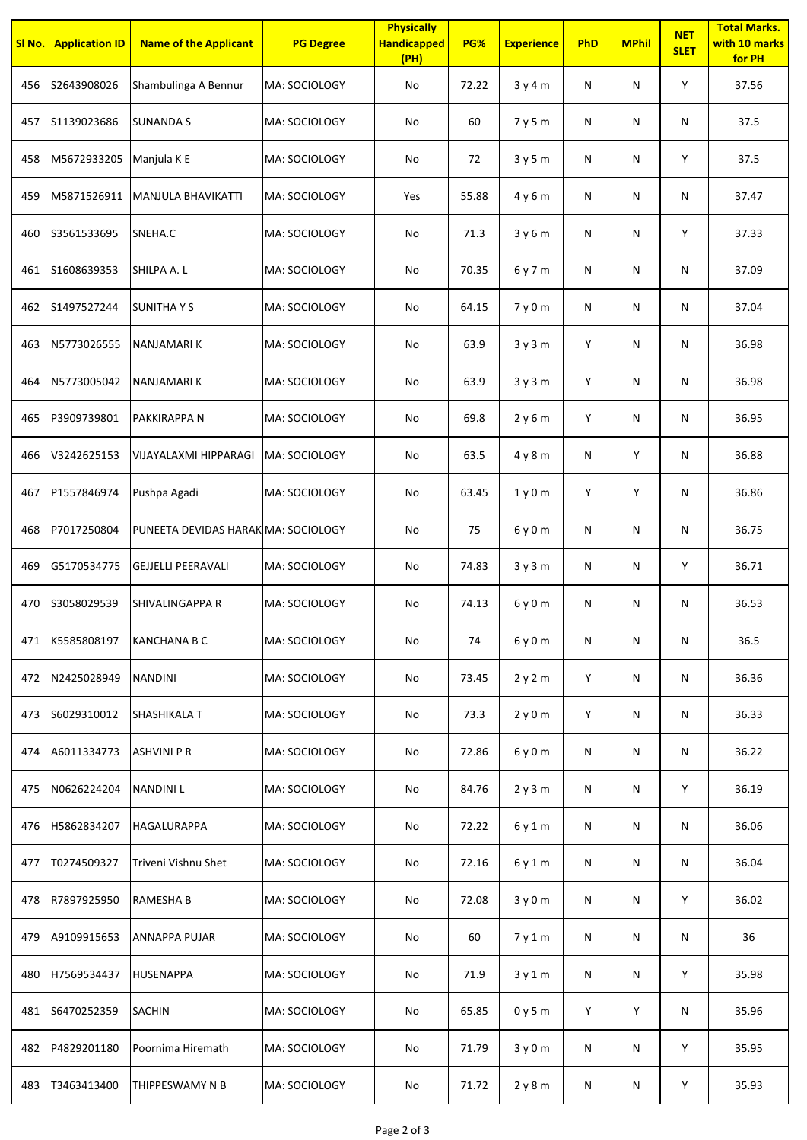| SI No. | <b>Application ID</b> | <b>Name of the Applicant</b>        | <b>PG Degree</b> | <b>Physically</b><br><b>Handicapped</b><br>(PH) | PG%   | <b>Experience</b> | PhD       | <b>MPhil</b> | <b>NET</b><br><b>SLET</b> | <b>Total Marks.</b><br>with 10 marks<br>for PH |
|--------|-----------------------|-------------------------------------|------------------|-------------------------------------------------|-------|-------------------|-----------|--------------|---------------------------|------------------------------------------------|
| 456    | S2643908026           | Shambulinga A Bennur                | MA: SOCIOLOGY    | No                                              | 72.22 | 3y4m              | ${\sf N}$ | N            | Υ                         | 37.56                                          |
| 457    | S1139023686           | <b>SUNANDA S</b>                    | MA: SOCIOLOGY    | No                                              | 60    | 7 y 5 m           | N         | N            | $\mathsf{N}$              | 37.5                                           |
| 458    | M5672933205           | Manjula K E                         | MA: SOCIOLOGY    | No                                              | 72    | 3y5m              | N         | N            | Υ                         | 37.5                                           |
| 459    | M5871526911           | MANJULA BHAVIKATTI                  | MA: SOCIOLOGY    | Yes                                             | 55.88 | 4 y 6 m           | N         | N            | N                         | 37.47                                          |
| 460    | S3561533695           | SNEHA.C                             | MA: SOCIOLOGY    | No                                              | 71.3  | 3y6m              | N         | N            | Υ                         | 37.33                                          |
| 461    | S1608639353           | SHILPA A.L                          | MA: SOCIOLOGY    | No                                              | 70.35 | 6 y 7 m           | N         | N            | N                         | 37.09                                          |
| 462    | S1497527244           | <b>SUNITHA Y S</b>                  | MA: SOCIOLOGY    | No                                              | 64.15 | 7y0m              | ${\sf N}$ | N            | N                         | 37.04                                          |
| 463    | N5773026555           | NANJAMARI K                         | MA: SOCIOLOGY    | No                                              | 63.9  | 3y3m              | Y         | N            | N                         | 36.98                                          |
| 464    | N5773005042           | NANJAMARI K                         | MA: SOCIOLOGY    | No                                              | 63.9  | 3y3m              | Y         | N            | $\mathsf{N}$              | 36.98                                          |
| 465    | P3909739801           | PAKKIRAPPA N                        | MA: SOCIOLOGY    | No                                              | 69.8  | 2y6m              | Y         | N            | N                         | 36.95                                          |
| 466    | V3242625153           | VIJAYALAXMI HIPPARAGI               | MA: SOCIOLOGY    | No                                              | 63.5  | 4y8m              | N         | Y            | $\mathsf{N}$              | 36.88                                          |
| 467    | P1557846974           | Pushpa Agadi                        | MA: SOCIOLOGY    | No                                              | 63.45 | 1y0m              | Y         | Y            | $\mathsf{N}$              | 36.86                                          |
| 468    | P7017250804           | PUNEETA DEVIDAS HARAK MA: SOCIOLOGY |                  | No                                              | 75    | 6 y 0 m           | N         | N            | N                         | 36.75                                          |
| 469    | G5170534775           | <b>GEJJELLI PEERAVALI</b>           | MA: SOCIOLOGY    | No                                              | 74.83 | 3y3m              | N         | N            | Y                         | 36.71                                          |
| 470    | S3058029539           | <b>SHIVALINGAPPA R</b>              | MA: SOCIOLOGY    | No                                              | 74.13 | 6y0m              | N         | N            | N                         | 36.53                                          |
| 471    | K5585808197           | <b>KANCHANA B C</b>                 | MA: SOCIOLOGY    | No                                              | 74    | 6 y 0 m           | N         | N            | N                         | 36.5                                           |
| 472    | N2425028949           | <b>NANDINI</b>                      | MA: SOCIOLOGY    | No                                              | 73.45 | 2y2m              | Y         | N            | N                         | 36.36                                          |
| 473    | S6029310012           | SHASHIKALA T                        | MA: SOCIOLOGY    | No                                              | 73.3  | 2y0m              | Υ         | N            | $\mathsf{N}$              | 36.33                                          |
| 474    | A6011334773           | <b>ASHVINI P R</b>                  | MA: SOCIOLOGY    | No                                              | 72.86 | 6 y 0 m           | ${\sf N}$ | N            | $\mathsf{N}$              | 36.22                                          |
| 475    | N0626224204           | <b>NANDINIL</b>                     | MA: SOCIOLOGY    | No                                              | 84.76 | 2y3m              | N         | N            | Υ                         | 36.19                                          |
| 476    | H5862834207           | HAGALURAPPA                         | MA: SOCIOLOGY    | No                                              | 72.22 | 6 y 1 m           | N         | N            | N                         | 36.06                                          |
| 477    | T0274509327           | Triveni Vishnu Shet                 | MA: SOCIOLOGY    | No                                              | 72.16 | 6 y 1 m           | N         | N            | N                         | 36.04                                          |
| 478    | R7897925950           | RAMESHA B                           | MA: SOCIOLOGY    | No                                              | 72.08 | 3y0m              | N         | N            | Υ                         | 36.02                                          |
| 479    | A9109915653           | <b>ANNAPPA PUJAR</b>                | MA: SOCIOLOGY    | No                                              | 60    | 7y1m              | ${\sf N}$ | N            | N                         | 36                                             |
| 480    | H7569534437           | <b>HUSENAPPA</b>                    | MA: SOCIOLOGY    | No                                              | 71.9  | 3y1m              | N         | N            | Υ                         | 35.98                                          |
| 481    | S6470252359           | <b>SACHIN</b>                       | MA: SOCIOLOGY    | No                                              | 65.85 | 0y5m              | Υ         | Y            | $\mathsf{N}$              | 35.96                                          |
| 482    | P4829201180           | Poornima Hiremath                   | MA: SOCIOLOGY    | No                                              | 71.79 | 3y0m              | N         | N            | Υ                         | 35.95                                          |
| 483    | T3463413400           | THIPPESWAMY N B                     | MA: SOCIOLOGY    | No                                              | 71.72 | 2y8m              | N         | N            | Υ                         | 35.93                                          |